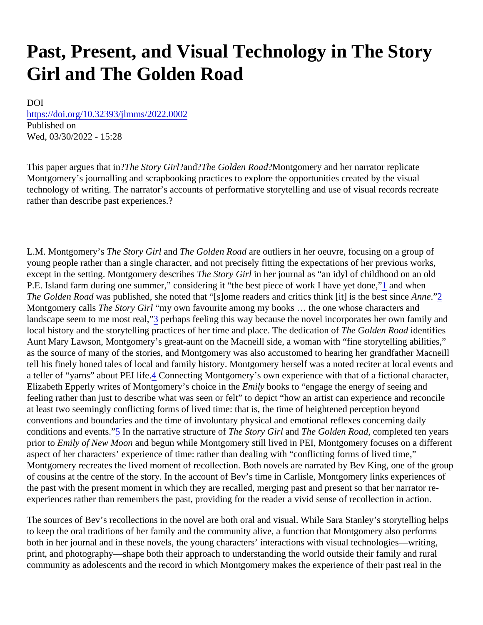# <span id="page-0-0"></span>Past, Present, and Visual Technology in The Story Girl and The Golden Road

DOI [https://doi.org/10.32393/jlmms/2022.00](https://doi.org/10.32393/jlmms/2022.0002)02 Published on Wed, 03/30/2022 - 15:28

This paper argues that in the Story Girland The Golden Road Montgomery and her narrator replicate Montgomery's journalling and scrapbooking practices to explore the opportunities created by the visual technology of writing. The narrator's accounts of performative storytelling and use of visual records recreate rather than describe past experiences.?

L.M. Montgomery's The Story Girland The Golden Road re outliers in her oeuvre, focusing on a group of young people rather than a single character, and not precisely fitting the expectations of her previous works, except in the setting. Montgomery describes Story Girlin her journal as "an idyl of childhood on an old P.E. Island farm during one summer," considering it "the best piece of work I have ye[t d](#page-10-0)ome, when Th[e](#page-10-0) Golden Road as published, she noted that "[s]ome readers and critics think [it] is the best sine "[2](#page-10-0) Montgomery calls The Story Girl "my own favourite among my books ... the one whose characters and landscape seem to me most r[ea](#page-10-0)perhaps feeling this way because the novel incorporates her own family and local history and the storytelling practices of her time and place. The dedicallibe Golden Road dentifies Aunt Mary Lawson, Montgomery's great-aunt on the Macneill side, a woman with "fine storytelling abilities," as the source of many of the stories, and Montgomery was also accustomed to hearing her grandfather Macre tell his finely honed tales of local and family history. Montgomery herself was a noted reciter at local events a a teller of "yarns" about PEI li[fe](#page-10-0). Connecting Montgomery's own experience with that of a fictional character, Elizabeth Epperly writes of Montgomery's choice in **Emaily** books to "engage the energy of seeing and feeling rather than just to describe what was seen or felt" to depict "how an artist can experience and reconcil at least two seemingly conflicting forms of lived time: that is, the time of heightened perception beyond conventions and boundaries and the time of involuntary physical and emotional reflexes concerning daily conditions and events<sup>'</sup> In the narrative structure othe Story Girland The Golden Road ompleted ten years prior to Emily of New Moorand begun while Montgomery still lived in PEI, Montgomery focuses on a different aspect of her characters' experience of time: rather than dealing with "conflicting forms of lived time," Montgomery recreates the lived moment of recollection. Both novels are narrated by Bev King, one of the group of cousins at the centre of the story. In the account of Bev's time in Carlisle, Montgomery links experiences of the past with the present moment in which they are recalled, merging past and present so that her narrator re experiences rather than remembers the past, providing for the reader a vivid sense of recollection in action.

The sources of Bev's recollections in the novel are both oral and visual. While Sara Stanley's storytelling help to keep the oral traditions of her family and the community alive, a function that Montgomery also performs both in her journal and in these novels, the young characters' interactions with visual technologies—writing, print, and photography—shape both their approach to understanding the world outside their family and rural community as adolescents and the record in which Montgomery makes the experience of their past real in the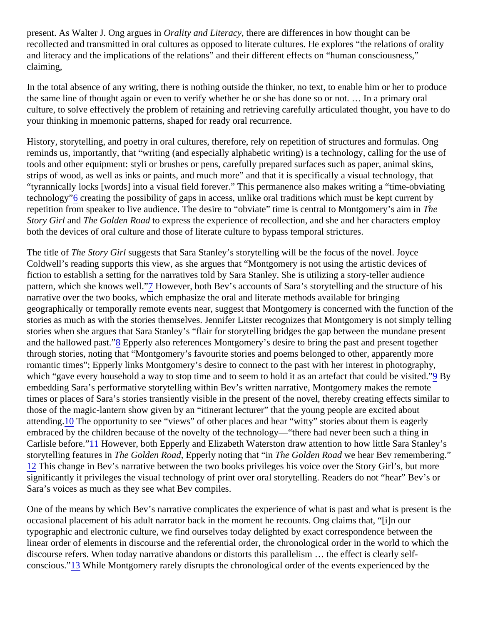<span id="page-1-0"></span>present. As Walter J. Ong argue **Cirality and Literacy there are differences in how thought can be** recollected and transmitted in oral cultures as opposed to literate cultures. He explores "the relations of orality and literacy and the implications of the relations" and their different effects on "human consciousness," claiming,

In the total absence of any writing, there is nothing outside the thinker, no text, to enable him or her to produc the same line of thought again or even to verify whether he or she has done so or not. … In a primary oral culture, to solve effectively the problem of retaining and retrieving carefully articulated thought, you have to do your thinking in mnemonic patterns, shaped for ready oral recurrence.

History, storytelling, and poetry in oral cultures, therefore, rely on repetition of structures and formulas. Ong reminds us, importantly, that "writing (and especially alphabetic writing) is a technology, calling for the use of tools and other equipment: styli or brushes or pens, carefully prepared surfaces such as paper, animal skins, strips of wood, as well as inks or paints, and much more" and that it is specifically a visual technology, that "tyrannically locks [words] into a visual field forever." This permanence also makes writing a "time-obviating technology<sup>®</sup> creating the possibility of gaps in access, unlike oral traditions which must be kept current by repetition from speaker to live audience. The desire to "obviate" time is central to Montgomery's Taim in Story Girl and The Golden Roato express the experience of recollection, and she and her characters employ both the devices of oral culture and those of literate culture to bypass temporal strictures.

The title of The Story Girl suggests that Sara Stanley's storytelling will be the focus of the novel. Joyce Coldwell's reading supports this view, as she argues that "Montgomery is not using the artistic devices of fiction to establish a setting for the narratives told by Sara Stanley. She is utilizing a story-teller audience pattern, which she knows we[ll.](#page-10-0) However, both Bev's accounts of Sara's storytelling and the structure of his narrative over the two books, which emphasize the oral and literate methods available for bringing geographically or temporally remote events near, suggest that Montgomery is concerned with the function of stories as much as with the stories themselves. Jennifer Litster recognizes that Montgomery is not simply telli stories when she argues that Sara Stanley's "flair for storytelling bridges the gap between the mundane prese and the hallowed pasa<sup>"</sup> Epperly also references Montgomery's desire to bring the past and present together through stories, noting that "Montgomery's favourite stories and poems belonged to other, apparently more romantic times"; Epperly links Montgomery's desire to connect to the past with her interest in photography, which "gav[e](#page-10-0) every household a way to stop time and to seem to hold it as an artefact that could be Bisited." embedding Sara's performative storytelling within Bev's written narrative, Montgomery makes the remote times or places of Sara's stories transiently visible in the present of the novel, thereby creating effects similar those of the magic-lantern show given by an "itinerant lecturer" that the young people are excited about attending 10 The opportunity to see "views" of other places and hear "witty" stories about them is eagerly embraced by the children because of the novelty of the technology—"there had never been such a thing in Carlisle before.<sup>"</sup> 11 However, both Epperly and Elizabeth Waterston draw attention to how little Sara Stanley's storytelling features in The Golden Road Epperly noting that "in The Golden Road e hear Bev remembering." [12](#page-10-0) This change in Bev's narrative between the two books privileges his voice over the Story Girl's, but more significantly it privileges the visual technology of print over oral storytelling. Readers do not "hear" Bev's or Sara's voices as much as they see what Bev compiles.

One of the means by which Bev's narrative complicates the experience of what is past and what is present is occasional placement of his adult narrator back in the moment he recounts. Ong claims that, "[i]n our typographic and electronic culture, we find ourselves today delighted by exact correspondence between the linear order of elements in discourse and the referential order, the chronological order in the world to which the discourse refers. When today narrative abandons or distorts this parallelism … the effect is clearly selfconscious.<sup>"</sup> 13 While Montgomery rarely disrupts the chronological order of the events experienced by the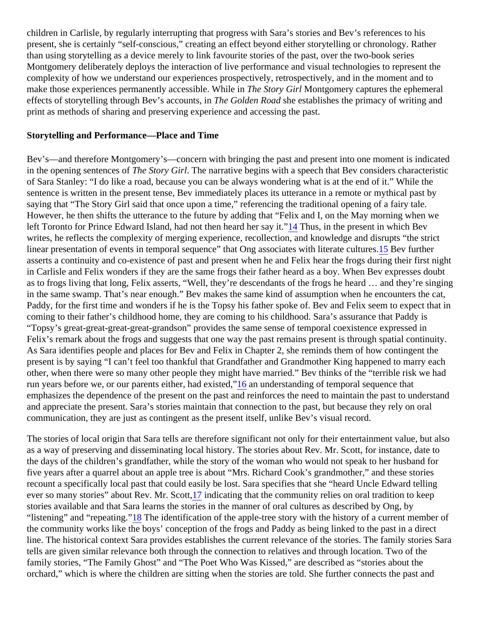<span id="page-2-0"></span>children in Carlisle, by regularly interrupting that progress with Sara's stories and Bev's references to his present, she is certainly "self-conscious," creating an effect beyond either storytelling or chronology. Rather than using storytelling as a device merely to link favourite stories of the past, over the two-book series Montgomery deliberately deploys the interaction of live performance and visual technologies to represent the complexity of how we understand our experiences prospectively, retrospectively, and in the moment and to make those experiences permanently accessible. While in Story Girl Montgomery captures the ephemeral effects of storytelling through Bev's accounts, The Golden Roadhe establishes the primacy of writing and print as methods of sharing and preserving experience and accessing the past.

#### Storytelling and Performance—Place and Time

Bev's—and therefore Montgomery's—concern with bringing the past and present into one moment is indicate in the opening sentences **The Story Girl.** The narrative begins with a speech that Bev considers characteristic of Sara Stanley: "I do like a road, because you can be always wondering what is at the end of it." While the sentence is written in the present tense, Bev immediately places its utterance in a remote or mythical past by saying that "The Story Girl said that once upon a time," referencing the traditional opening of a fairy tale. However, he then shifts the utterance to the future by adding that "Felix and I, on the May morning when we left Toronto for Prince Edward Island, had not then heard her [say](#page-10-0) Titlius, in the present in which Bev writes, he reflects the complexity of merging experience, recollection, and knowledge and disrupts "the strict linear presentation of events in temporal sequence" that Ong associates with literate **ta Benefurther** asserts a continuity and co-existence of past and present when he and Felix hear the frogs during their first n in Carlisle and Felix wonders if they are the same frogs their father heard as a boy. When Bev expresses dougle as to frogs living that long, Felix asserts, "Well, they're descendants of the frogs he heard ... and they're singi in the same swamp. That's near enough." Bev makes the same kind of assumption when he encounters the or Paddy, for the first time and wonders if he is the Topsy his father spoke of. Bey and Felix seem to expect that coming to their father's childhood home, they are coming to his childhood. Sara's assurance that Paddy is "Topsy's great-great-great-great-grandson" provides the same sense of temporal coexistence expressed in Felix's remark about the frogs and suggests that one way the past remains present is through spatial continuity. As Sara identifies people and places for Bev and Felix in Chapter 2, she reminds them of how contingent the present is by saying "I can't feel too thankful that Grandfather and Grandmother King happened to marry eacle other, when there were so many other people they might have married." Bev thinks of the "terrible risk we had run years before we, or our parents either, had exi[ste](#page-10-0)d; understanding of temporal sequence that emphasizes the dependence of the present on the past and reinforces the need to maintain the past to under and appreciate the present. Sara's stories maintain that connection to the past, but because they rely on oral communication, they are just as contingent as the present itself, unlike Bev's visual record.

The stories of local origin that Sara tells are therefore significant not only for their entertainment value, but als as a way of preserving and disseminating local history. The stories about Rev. Mr. Scott, for instance, date to the days of the children's grandfather, while the story of the woman who would not speak to her husband for five years after a quarrel about an apple tree is about "Mrs. Richard Cook's grandmother," and these stories recount a specifically local past that could easily be lost. Sara specifies that she "heard Uncle Edward telling ever so many stories" about Rev. Mr. Sdottindicating that the community relies on oral tradition to keep stories available and that Sara learns the stories in the manner of oral cultures as described by Ong, by "listening" and "repeating[."18](#page-10-0) The identification of the apple-tree story with the history of a current member of the community works like the boys' conception of the frogs and Paddy as being linked to the past in a direct line. The historical context Sara provides establishes the current relevance of the stories. The family stories S tells are given similar relevance both through the connection to relatives and through location. Two of the family stories, "The Family Ghost" and "The Poet Who Was Kissed," are described as "stories about the orchard," which is where the children are sitting when the stories are told. She further connects the past and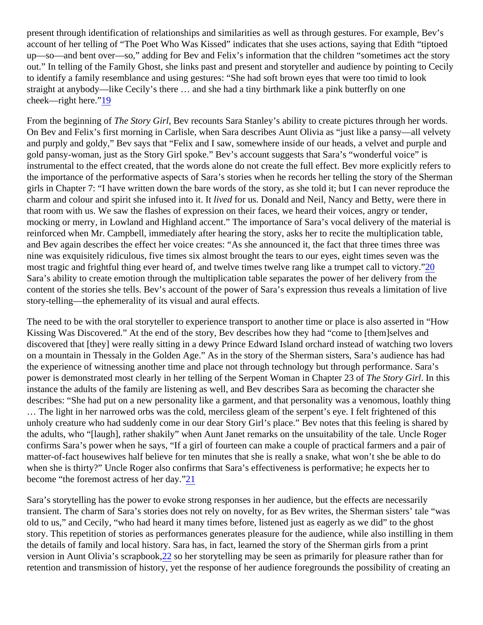<span id="page-3-0"></span>present through identification of relationships and similarities as well as through gestures. For example, Bev's account of her telling of "The Poet Who Was Kissed" indicates that she uses actions, saying that Edith "tiptoe up—so—and bent over—so," adding for Bev and Felix's information that the children "sometimes act the story out." In telling of the Family Ghost, she links past and present and storyteller and audience by pointing to Cec to identify a family resemblance and using gestures: "She had soft brown eyes that were too timid to look straight at anybody—like Cecily's there … and she had a tiny birthmark like a pink butterfly on one cheek—right here<sup>19</sup>

From the beginning of the Story Gir, Bev recounts Sara Stanley's ability to create pictures through her words. On Bev and Felix's first morning in Carlisle, when Sara describes Aunt Olivia as "just like a pansy—all velvety and purply and goldy," Bev says that "Felix and I saw, somewhere inside of our heads, a velvet and purple are gold pansy-woman, just as the Story Girl spoke." Bev's account suggests that Sara's "wonderful voice" is instrumental to the effect created, that the words alone do not create the full effect. Bev more explicitly refers the importance of the performative aspects of Sara's stories when he records her telling the story of the Sheri girls in Chapter 7: "I have written down the bare words of the story, as she told it; but I can never reproduce th charm and colour and spirit she infused into it ved for us. Donald and Neil, Nancy and Betty, were there in that room with us. We saw the flashes of expression on their faces, we heard their voices, angry or tender, mocking or merry, in Lowland and Highland accent." The importance of Sara's vocal delivery of the material is reinforced when Mr. Campbell, immediately after hearing the story, asks her to recite the multiplication table, and Bev again describes the effect her voice creates: "As she announced it, the fact that three times three was nine was exquisitely ridiculous, five times six almost brought the tears to our eyes, eight times seven was the most tragic and frightful thing ever heard of, and twelve times twelve rang like a trumpet call to *actory*." Sara's ability to create emotion through the multiplication table separates the power of her delivery from the content of the stories she tells. Bev's account of the power of Sara's expression thus reveals a limitation of liv story-telling—the ephemerality of its visual and aural effects.

The need to be with the oral storyteller to experience transport to another time or place is also asserted in "How Kissing Was Discovered." At the end of the story, Bev describes how they had "come to [them]selves and discovered that [they] were really sitting in a dewy Prince Edward Island orchard instead of watching two love on a mountain in Thessaly in the Golden Age." As in the story of the Sherman sisters, Sara's audience has ha the experience of witnessing another time and place not through technology but through performance. Sara's power is demonstrated most clearly in her telling of the Serpent Woman in Chapter 123 Story Girl In this instance the adults of the family are listening as well, and Bev describes Sara as becoming the character she describes: "She had put on a new personality like a garment, and that personality was a venomous, loathly the … The light in her narrowed orbs was the cold, merciless gleam of the serpent's eye. I felt frightened of this unholy creature who had suddenly come in our dear Story Girl's place." Bev notes that this feeling is shared b the adults, who "[laugh], rather shakily" when Aunt Janet remarks on the unsuitability of the tale. Uncle Roger confirms Sara's power when he says, "If a girl of fourteen can make a couple of practical farmers and a pair o matter-of-fact housewives half believe for ten minutes that she is really a snake, what won't she be able to do when she is thirty?" Uncle Roger also confirms that Sara's effectiveness is performative; he expects her to become "the foremost actress of her [day](#page-10-0)."

Sara's storytelling has the power to evoke strong responses in her audience, but the effects are necessarily transient. The charm of Sara's stories does not rely on novelty, for as Bev writes, the Sherman sisters' tale "w old to us," and Cecily, "who had heard it many times before, listened just as eagerly as we did" to the ghost story. This repetition of stories as performances generates pleasure for the audience, while also instilling in th the details of family and local history. Sara has, in fact, learned the story of the Sherman girls from a print version in Aunt Olivia's scrapbook, [22](#page-10-0) so her storytelling may be seen as primarily for pleasure rather than for retention and transmission of history, yet the response of her audience foregrounds the possibility of creating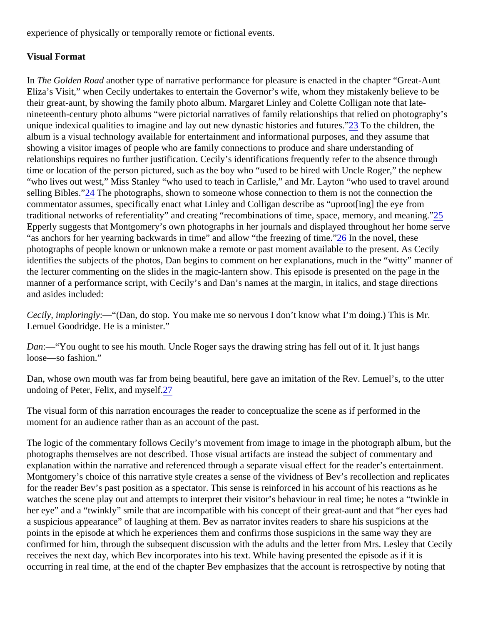<span id="page-4-0"></span>experience of physically or temporally remote or fictional events.

## Visual Format

In The Golden Road nother type of narrative performance for pleasure is enacted in the chapter "Great-Aunt Eliza's Visit," when Cecily undertakes to entertain the Governor's wife, whom they mistakenly believe to be their great-aunt, by showing the family photo album. Margaret Linley and Colette Colligan note that latenineteenth-century photo albums "were pictorial narratives of family relationships that relied on photography's unique indexical qualities to imagine and lay out new dynastic histories and furoner the children, the album is a visual technology available for entertainment and informational purposes, and they assume that showing a visitor images of people who are family connections to produce and share understanding of relationships requires no further justification. Cecily's identifications frequently refer to the absence through time or location of the person pictured, such as the boy who "used to be hired with Uncle Roger," the nephew "who lives out west," Miss Stanley "who used to teach in Carlisle," and Mr. Layton "who used to travel around selling Bibles.["24](#page-10-0) The photographs, shown to someone whose connection to them is not the connection the commentator assumes, specifically enact what Linley and Colligan describe as "uproot[ing] the eye from traditional networks of referentiality" and cr[ea](#page-10-0)ting "recombinations of time, space, memory, and meaning." Epperly suggests that Montgomery's own photographs in her journals and displayed throughout her home ser "as anchors for her yearning backwards in [tim](#page-10-0)e" and allow "the freezing of *light* the novel, these photographs of people known or unknown make a remote or past moment available to the present. As Cecily identifies the subjects of the photos, Dan begins to comment on her explanations, much in the "witty" manner the lecturer commenting on the slides in the magic-lantern show. This episode is presented on the page in the manner of a performance script, with Cecily's and Dan's names at the margin, in italics, and stage directions and asides included:

Cecily,imploringly:—"(Dan, do stop. You make me so nervous I don't know what I'm doing.) This is Mr. Lemuel Goodridge. He is a minister."

Dan:—"You ought to see his mouth. Uncle Roger says the drawing string has fell out of it. It just hangs loose—so fashion."

Dan, whose own mouth was far from being beautiful, here gave an imitation of the Rev. Lemuel's, to the utter undoing of Peter, Felix, and mys[elf.](#page-10-0)

The visual form of this narration encourages the reader to conceptualize the scene as if performed in the moment for an audience rather than as an account of the past.

The logic of the commentary follows Cecily's movement from image to image in the photograph album, but the photographs themselves are not described. Those visual artifacts are instead the subject of commentary and explanation within the narrative and referenced through a separate visual effect for the reader's entertainmen Montgomery's choice of this narrative style creates a sense of the vividness of Bev's recollection and replicate for the reader Bev's past position as a spectator. This sense is reinforced in his account of his reactions as he watches the scene play out and attempts to interpret their visitor's behaviour in real time; he notes a "twinkle i her eye" and a "twinkly" smile that are incompatible with his concept of their great-aunt and that "her eyes had a suspicious appearance" of laughing at them. Bev as narrator invites readers to share his suspicions at the points in the episode at which he experiences them and confirms those suspicions in the same way they are confirmed for him, through the subsequent discussion with the adults and the letter from Mrs. Lesley that Cec receives the next day, which Bev incorporates into his text. While having presented the episode as if it is occurring in real time, at the end of the chapter Bev emphasizes that the account is retrospective by noting th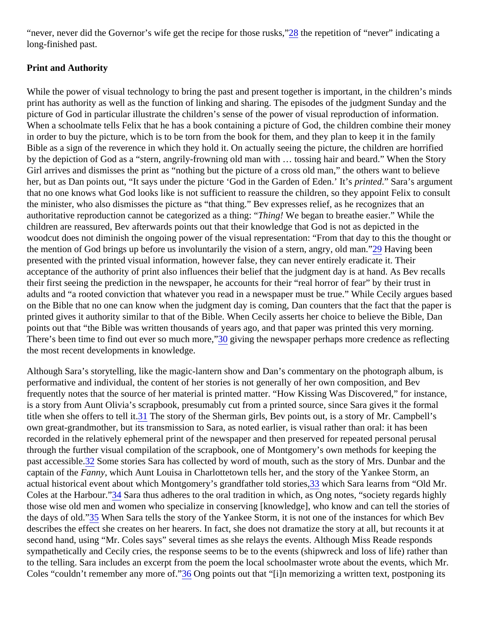<span id="page-5-0"></span>"never, never did the Governor's wife get the recipe for those r[usk](#page-10-0)s, e repetition of "never" indicating a long-finished past.

# Print and Authority

While the power of visual technology to bring the past and present together is important, in the children's mine print has authority as well as the function of linking and sharing. The episodes of the judgment Sunday and th picture of God in particular illustrate the children's sense of the power of visual reproduction of information. When a schoolmate tells Felix that he has a book containing a picture of God, the children combine their mon in order to buy the picture, which is to be torn from the book for them, and they plan to keep it in the family Bible as a sign of the reverence in which they hold it. On actually seeing the picture, the children are horrified by the depiction of God as a "stern, angrily-frowning old man with … tossing hair and beard." When the Story Girl arrives and dismisses the print as "nothing but the picture of a cross old man," the others want to believe her, but as Dan points out, "It says under the picture 'God in the Garden of Edenrihited." Sara's argument that no one knows what God looks like is not sufficient to reassure the children, so they appoint Felix to consu the minister, who also dismisses the picture as "that thing." Bev expresses relief, as he recognizes that an authoritative reproduction cannot be categorized as a thin mangel! We began to breathe easier." While the children are reassured, Bev afterwards points out that their knowledge that God is not as depicted in the woodcut does not diminish the ongoing power of the visual representation: "From that day to this the thought the mention of God brings up before us involuntarily the vision of a stern, angry, ol $\alpha$  man." been presented with the printed visual information, however false, they can never entirely eradicate it. Their acceptance of the authority of print also influences their belief that the judgment day is at hand. As Bev recall their first seeing the prediction in the newspaper, he accounts for their "real horror of fear" by their trust in adults and "a rooted conviction that whatever you read in a newspaper must be true." While Cecily argues ba on the Bible that no one can know when the judgment day is coming, Dan counters that the fact that the pape printed gives it authority similar to that of the Bible. When Cecily asserts her choice to believe the Bible, Dan points out that "the Bible was written thousands of years ago, and that paper was printed this very morning. There's been time to find out ever so much m[ore](#page-10-0) diving the newspaper perhaps more credence as reflecting the most recent developments in knowledge.

Although Sara's storytelling, like the magic-lantern show and Dan's commentary on the photograph album, is performative and individual, the content of her stories is not generally of her own composition, and Bev frequently notes that the source of her material is printed matter. "How Kissing Was Discovered," for instance, is a story from Aunt Olivia's scrapbook, presumably cut from a printed source, since Sara gives it the formal title when she offers to tell  $\frac{1}{1}$ . The story of the Sherman girls, Bev points out, is a story of Mr. Campbell's own great-grandmother, but its transmission to Sara, as noted earlier, is visual rather than oral: it has been recorded in the relatively ephemeral print of the newspaper and then preserved for repeated personal perusal through the further visual compilation of the scrapbook, one of Montgomery's own methods for keeping the past accessible? Some stories Sara has collected by word of mouth, such as the story of Mrs. Dunbar and the captain of the Fanny, which Aunt Louisa in Charlottetown tells her, and the story of the Yankee Storm, an actual his[tor](#page-11-0)ical event about which Montgomery's grandfather told stories, ich Sara learns from "Old Mr. Coles at the Harbou<sup>3</sup><sup>4</sup> Sara thus adheres to the oral tradition in which, as Ong notes, "society regards highly those wise old men and women who specialize in conserving [knowledge], who know and can tell the stories the days of old.35 When Sara tells the story of the Yankee Storm, it is not one of the instances for which Bev describes the effect she creates on her hearers. In fact, she does not dramatize the story at all, but recounts i second hand, using "Mr. Coles says" several times as she relays the events. Although Miss Reade responds sympathetically and Cecily cries, the response seems to be to the events (shipwreck and loss of life) rather th to the telling. Sara includes an excerpt from the poem the local schoolmaster wrote about the events, which M Coles "couldn't remember any more of "Ong points out that "[i]n memorizing a written text, postponing its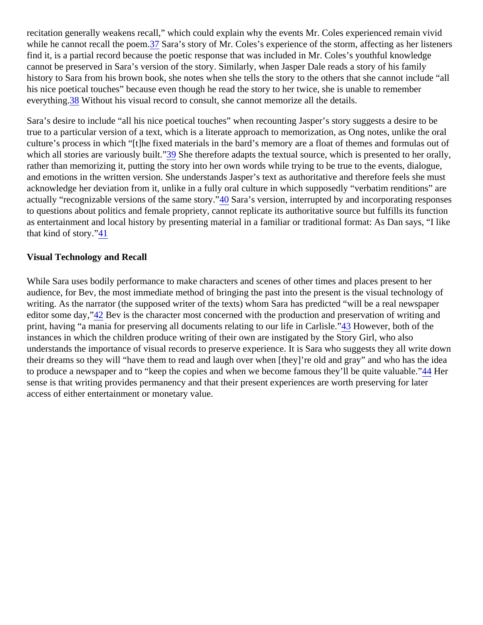<span id="page-6-0"></span>recitation generally weakens recall," which could explain why the events Mr. Coles experienced remain vivid while he cannot recall the po[em](#page-11-0). Sara's story of Mr. Coles's experience of the storm, affecting as her listeners find it, is a partial record because the poetic response that was included in Mr. Coles's youthful knowledge cannot be preserved in Sara's version of the story. Similarly, when Jasper Dale reads a story of his family history to Sara from his brown book, she notes when she tells the story to the others that she cannot include ' his nice poetical touches" because even though he read the story to her twice, she is unable to remember everything 38 Without his visual record to consult, she cannot memorize all the details.

Sara's desire to include "all his nice poetical touches" when recounting Jasper's story suggests a desire to be true to a particular version of a text, which is a literate approach to memorization, as Ong notes, unlike the ora culture's process in which "[t]he fixed materials in the bard's memory are a float of themes and formulas out o which all stories are variously buil<sup>89</sup> She therefore adapts the textual source, which is presented to her orally, rather than memorizing it, putting the story into her own words while trying to be true to the events, dialogue, and emotions in the written version. She understands Jasper's text as authoritative and therefore feels she m acknowledge her deviation from it, unlike in a fully oral culture in which supposedly "verbatim renditions" are actually "recognizable versions of the same stery? Sara's version, interrupted by and incorporating responses to questions about politics and female propriety, cannot replicate its authoritative source but fulfills its function as entertainment and local history by presenting material in a familiar or traditional format: As Dan says, "I like that kind of story.41

## Visual Technology and Recall

While Sara uses bodily performance to make characters and scenes of other times and places present to her audience, for Bev, the most immediate method of bringing the past into the present is the visual technology of writing. As the narrator (the supposed writer of the texts) whom Sara has predicted "will be a real newspaper editor some day.<sup>12</sup> Bev is the character most concerned with the production and preservation of writing and print, having "a mania for preserving all documents relating to our life in Car<sup>nes</sup> both of the instances in which the children produce writing of their own are instigated by the Story Girl, who also understands the importance of visual records to preserve experience. It is Sara who suggests they all write do their dreams so they will "have them to read and laugh over when [they]'re old and gray" and who has the ide to produce a newspaper and to "keep the copies and when we become famous they'll be quite **44 Heralula**ble." sense is that writing provides permanency and that their present experiences are worth preserving for later access of either entertainment or monetary value.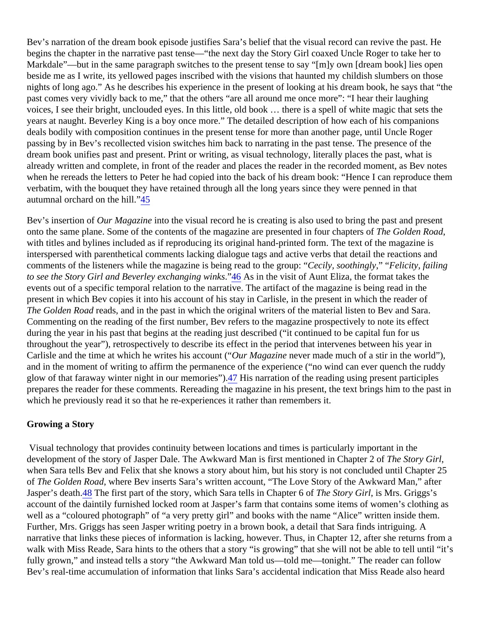<span id="page-7-0"></span>Bev's narration of the dream book episode justifies Sara's belief that the visual record can revive the past. He begins the chapter in the narrative past tense—"the next day the Story Girl coaxed Uncle Roger to take her to Markdale"—but in the same paragraph switches to the present tense to say "[m]y own [dream book] lies open beside me as I write, its yellowed pages inscribed with the visions that haunted my childish slumbers on those nights of long ago." As he describes his experience in the present of looking at his dream book, he says that ' past comes very vividly back to me," that the others "are all around me once more": "I hear their laughing voices, I see their bright, unclouded eyes. In this little, old book … there is a spell of white magic that sets the years at naught. Beverley King is a boy once more." The detailed description of how each of his companions deals bodily with composition continues in the present tense for more than another page, until Uncle Roger passing by in Bev's recollected vision switches him back to narrating in the past tense. The presence of the dream book unifies past and present. Print or writing, as visual technology, literally places the past, what is already written and complete, in front of the reader and places the reader in the recorded moment, as Bev no when he rereads the letters to Peter he had copied into the back of his dream book: "Hence I can reproduce t verbatim, with the bouquet they have retained through all the long years since they were penned in that autumnal orchard on the hill. $5$ 

Bev's insertion of Our Magazinento the visual record he is creating is also used to bring the past and present onto the same plane. Some of the contents of the magazine are presented in four chapter and Road with titles and bylines included as if reproducing its original hand-printed form. The text of the magazine is interspersed with parenthetical comments lacking dialogue tags and active verbs that detail the reactions and comments of the listeners while the magazine is being read to the graup is soothingly" " Felicity, failing to see the Story Girl and Beverley exchanging wi[nks](#page-11-0) As in the visit of Aunt Eliza, the format takes the events out of a specific temporal relation to the narrative. The artifact of the magazine is being read in the present in which Bev copies it into his account of his stay in Carlisle, in the present in which the reader of The Golden Road ads, and in the past in which the original writers of the material listen to Bev and Sara. Commenting on the reading of the first number, Bev refers to the magazine prospectively to note its effect during the year in his past that begins at the reading just described ("it continued to be capital fun for us throughout the year"), retrospectively to describe its effect in the period that intervenes between his year in Carlisle and the time at which he writes his accoudul "Magazine never made much of a stir in the world"), and in the moment of writing to affirm the permanence of the experience ("no wind can ever quench the ruddy glow of that faraway winter night in our memories<sup>"</sup>. His narration of the reading using present participles prepares the reader for these comments. Rereading the magazine in his present, the text brings him to the past which he previously read it so that he re-experiences it rather than remembers it.

#### Growing a Story

 Visual technology that provides continuity between locations and times is particularly important in the development of the story of Jasper Dale. The Awkward Man is first mentioned in Chapter extory Girl when Sara tells Bev and Felix that she knows a story about him, but his story is not concluded until Chapter 2 of The Golden Roadwhere Bev inserts Sara's written account, "The Love Story of the Awkward Man," after Jasper's deat<sup>h8</sup> The first part of the story, which Sara tells in Chapter To of Story Girl is Mrs. Griggs's account of the daintily furnished locked room at Jasper's farm that contains some items of women's clothing a well as a "coloured photograph" of "a very pretty girl" and books with the name "Alice" written inside them. Further, Mrs. Griggs has seen Jasper writing poetry in a brown book, a detail that Sara finds intriguing. A narrative that links these pieces of information is lacking, however. Thus, in Chapter 12, after she returns fron walk with Miss Reade, Sara hints to the others that a story "is growing" that she will not be able to tell until "it's fully grown," and instead tells a story "the Awkward Man told us—told me—tonight." The reader can follow Bev's real-time accumulation of information that links Sara's accidental indication that Miss Reade also heard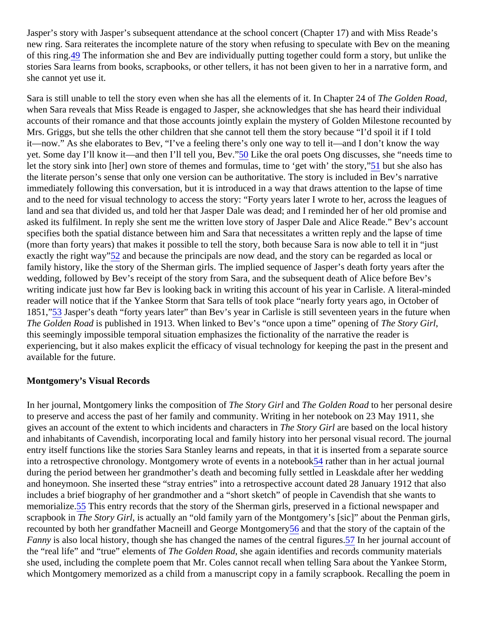<span id="page-8-0"></span>Jasper's story with Jasper's subsequent attendance at the school concert (Chapter 17) and with Miss Reade' new ring. Sara reiterates the incomplete nature of the story when refusing to speculate with Bev on the mean of this ring.<sup>49</sup> The information she and Bev are individually putting together could form a story, but unlike the stories Sara learns from books, scrapbooks, or other tellers, it has not been given to her in a narrative form, a she cannot yet use it.

Sara is still unable to tell the story even when she has all the elements of it. In Chapter  $\&$  Golden Road when Sara reveals that Miss Reade is engaged to Jasper, she acknowledges that she has heard their individ accounts of their romance and that those accounts jointly explain the mystery of Golden Milestone recounted Mrs. Griggs, but she tells the other children that she cannot tell them the story because "I'd spoil it if I told it—now." As she elaborates to Bev, "I've a feeling there's only one way to tell it—and I don't know the way yet. Some day I'll know it—and then I'll tell you, Be<sup>60</sup> Like the oral poets Ong discusses, she "needs time to let the [sto](#page-11-0)ry sink into [her] own store of themes and formulas, time to 'get with' the **5torget**' she also has the literate person's sense that only one version can be authoritative. The story is included in Bev's narrative immediately following this conversation, but it is introduced in a way that draws attention to the lapse of time and to the need for visual technology to access the story: "Forty years later I wrote to her, across the leagues land and sea that divided us, and told her that Jasper Dale was dead; and I reminded her of her old promise and asked its fulfilment. In reply she sent me the written love story of Jasper Dale and Alice Reade." Bev's accour specifies both the spatial distance between him and Sara that necessitates a written reply and the lapse of tin (more than forty years) that makes it possible to tell the story, both because Sara is now able to tell it in "just exactly the right way 52 and because the principals are now dead, and the story can be regarded as local or family history, like the story of the Sherman girls. The implied sequence of Jasper's death forty years after the wedding, followed by Bev's receipt of the story from Sara, and the subsequent death of Alice before Bev's writing indicate just how far Bev is looking back in writing this account of his year in Carlisle. A literal-minded reader will notice that if the Yankee Storm that Sara tells of took place "nearly forty years ago, in October of 1851,["53](#page-11-0) Jasper's death "forty years later" than Bev's year in Carlisle is still seventeen years in the future whe The Golden Roads published in 1913. When linked to Bev's "once upon a time" opening of Story Girl this seemingly impossible temporal situation emphasizes the fictionality of the narrative the reader is experiencing, but it also makes explicit the efficacy of visual technology for keeping the past in the present an available for the future.

# Montgomery's Visual Records

In her journal, Montgomery links the composition To the Story Girland The Golden Roato her personal desire to preserve and access the past of her family and community. Writing in her notebook on 23 May 1911, she gives an account of the extent to which incidents and charactens is tory Girlare based on the local history and inhabitants of Cavendish, incorporating local and family history into her personal visual record. The journ entry itself functions like the stories Sara Stanley learns and repeats, in that it is inserted from a separate sou into a retrospective chronology. Montgomery wrote of events in a notologik er than in her actual journal during the period between her grandmother's death and becoming fully settled in Leaskdale after her wedding and honeymoon. She inserted these "stray entries" into a retrospective account dated 28 January 1912 that a includes a brief biography of her grandmother and a "short sketch" of people in Cavendish that she wants to memorialize<sup>55</sup> This entry records that the story of the Sherman girls, preserved in a fictional newspaper and scrapbook in The Story Girl is actually an "old family yarn of the Montgomery's [sic]" about the Penman girls, recounted by both her grandfather Macneill and George Montg[om](#page-11-0)end that the story of the captain of the Fanny is also local history, though she has changed the names of the centra[l fig](#page-11-0)ures: journal account of the "real life" and "true" elements difhe Golden Roadshe again identifies and records community materials she used, including the complete poem that Mr. Coles cannot recall when telling Sara about the Yankee Storin which Montgomery memorized as a child from a manuscript copy in a family scrapbook. Recalling the poem i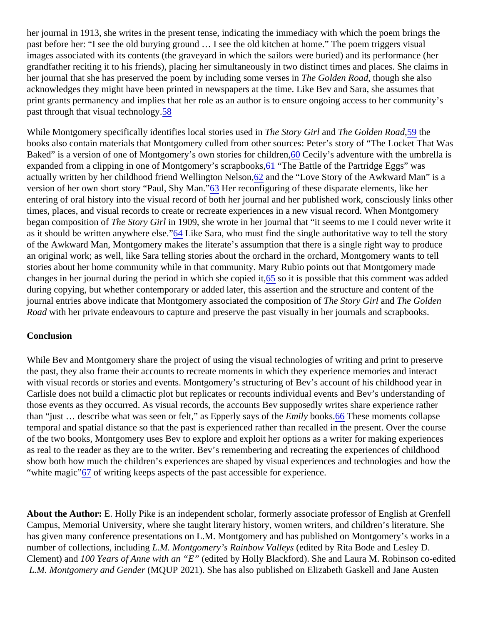<span id="page-9-0"></span>her journal in 1913, she writes in the present tense, indicating the immediacy with which the poem brings the past before her: "I see the old burying ground … I see the old kitchen at home." The poem triggers visual images associated with its contents (the graveyard in which the sailors were buried) and its performance (her grandfather reciting it to his friends), placing her simultaneously in two distinct times and places. She claims i her journal that she has preserved the poem by including some verses Grolden Roadhough she also acknowledges they might have been printed in newspapers at the time. Like Bev and Sara, she assumes that print grants permanency and implies that her role as an author is to ensure ongoing access to her community past through that visual technol[ogy](#page-11-0).

While Montgomery specifically identifies local stories used line Story Girland The Golden Road,9 the books also contain materials that Montgomery culled from other sources: Peter's story of "The Locket That W Baked" is a version of one of Montgomery's own stories for chilo Cecily's adventure with the umbrella is expanded from a clipping in one of Montgomery's scrapb[ook](#page-11-0) of the Battle of the Partridge Eggs" was actually written by her childhood friend Wellington Nel[son](#page-11-0), and the "Love Story of the Awkward Man" is a version of her own short story "Paul, Shy Man Execonfiguring of these disparate elements, like her entering of oral history into the visual record of both her journal and her published work, consciously links other times, places, and visual records to create or recreate experiences in a new visual record. When Montgomery began composition of The Story Girlin 1909, she wrote in her journal that "it seems to me I could never write it as it should be written anywhere el[se.](#page-12-0)" Like Sara, who must find the single authoritative way to tell the story of the Awkward Man, Montgomery makes the literate's assumption that there is a single right way to produce an original work; as well, like Sara telling stories about the orchard in the orchard, Montgomery wants to tell stories about her home community while in that community. Mary Rubio points out that Montgomery made changes in her journal during the period in which she copled it is possible that this comment was added during copying, but whether contemporary or added later, this assertion and the structure and content of the journal entries above indicate that Montgomery associated the compositibe Story Girland The Golden Road with her private endeavours to capture and preserve the past visually in her journals and scrapbooks.

# **Conclusion**

While Bev and Montgomery share the project of using the visual technologies of writing and print to preserve the past, they also frame their accounts to recreate moments in which they experience memories and interactionwith visual records or stories and events. Montgomery's structuring of Bev's account of his childhood year in Carlisle does not build a climactic plot but replicates or recounts individual events and Bev's understanding of those events as they occurred. As visual records, the accounts Bev supposedly writes share experience rather than "just  $\ldots$  describe what was seen or felt," as Epperly says  $E$  mile books $66$  These moments collapse temporal and spatial distance so that the past is experienced rather than recalled in the present. Over the cou of the two books, Montgomery uses Bev to explore and exploit her options as a writer for making experiences as real to the reader as they are to the writer. Bev's remembering and recreating the experiences of childhood show both how much the children's experiences are shaped by visual experiences and technologies and how "white magic["67](#page-12-0) of writing keeps aspects of the past accessible for experience.

About the Author: E. Holly Pike is an independent scholar, formerly associate professor of English at Grenfell Campus, Memorial University, where she taught literary history, women writers, and children's literature. She has given many conference presentations on L.M. Montgomery and has published on Montgomery's works in number of collections, including M. Montgomery's Rainbow Valleys dited by Rita Bode and Lesley D. Clement) and 00 Years of Anne with an "E edited by Holly Blackford). She and Laura M. Robinson co-edited L.M. Montgomery and Gender MQUP 2021). She has also published on Elizabeth Gaskell and Jane Austen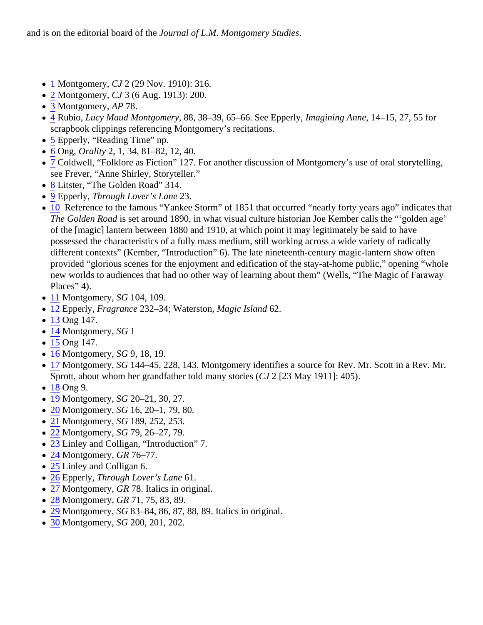- <span id="page-10-0"></span>• [1](#page-0-0) Montgomery, CJ 2 (29 Nov. 1910): 316.
- [2](#page-0-0) Montgomery, CJ 3 (6 Aug. 1913): 200.
- [3](#page-0-0) Montgomery, AP 78.
- $\overline{4}$  $\overline{4}$  $\overline{4}$  Rubio, Lucy Maud Montgomery88, 38-39, 65-66. See Epperly agining Anne 14-15, 27, 55 for scrapbook clippings referencing Montgomery's recitations.
- [5](#page-0-0) Epperly, "Reading Time" np.
- [6](#page-1-0) Ong, Orality 2, 1, 34, 81–82, 12, 40.
- [7](#page-1-0) Coldwell, "Folklore as Fiction" 127. For another discussion of Montgomery's use of oral storytelling, see Frever, "Anne Shirley, Storyteller."
- [8](#page-1-0) Litster, "The Golden Road" 314.
- $\bullet$  [9](#page-1-0) Epperly, Through Lover's Lane 23.
- [10](#page-1-0) Reference to the famous "Yankee Storm" of 1851 that occurred "nearly forty years ago" indicates that The Golden Roads set around 1890, in what visual culture historian Joe Kember calls the "golden age' of the [magic] lantern between 1880 and 1910, at which point it may legitimately be said to have possessed the characteristics of a fully mass medium, still working across a wide variety of radically different contexts" (Kember, "Introduction" 6). The late nineteenth-century magic-lantern show often provided "glorious scenes for the enjoyment and edification of the stay-at-home public," opening "whole new worlds to audiences that had no other way of learning about them" (Wells, "The Magic of Faraway Places" 4).
- [11](#page-1-0) Montgomery, SG 104, 109.
- [12](#page-1-0) Epperly, Fragrance 232-34; WaterstonMagic Island 62.
- [13](#page-1-0) Ong 147.
- [14](#page-2-0) Montgomery, SG1
- $15$  $15$  Ong 147.
- [16](#page-2-0) Montgomery, SG9, 18, 19.
- $\overline{17}$  $\overline{17}$  $\overline{17}$  Montgomery, SG 144–45, 228, 143. Montgomery identifies a source for Rev. Mr. Scott in a Rev. Mr. Sprott, about whom her grandfather told many stofles 2([23 May 1911]: 405).
- [18](#page-2-0) Ong 9.
- [19](#page-3-0) Montgomery, SG 20-21, 30, 27.
- [20](#page-3-0) Montgomery, SG 16, 20-1, 79, 80.
- [21](#page-3-0) Montgomery, SG 189, 252, 253.
- [22](#page-3-0) Montgomery, SG 79, 26-27, 79.
- [23](#page-4-0)Linley and Colligan, "Introduction" 7.
- [24](#page-4-0) Montgomery, GR 76-77.
- [25](#page-4-0) Linley and Colligan 6.
- [26](#page-4-0) Epperly, Through Lover's Lan<sup>61</sup>.
- [27](#page-4-0) Montgomery, GR 78. Italics in original.
- [28](#page-5-0) Montgomery, GR 71, 75, 83, 89.
- $\bullet$  [29](#page-5-0) Montgomery, SG 83-84, 86, 87, 88, 89. Italics in original.
- [30](#page-5-0) Montgomery, SG 200, 201, 202.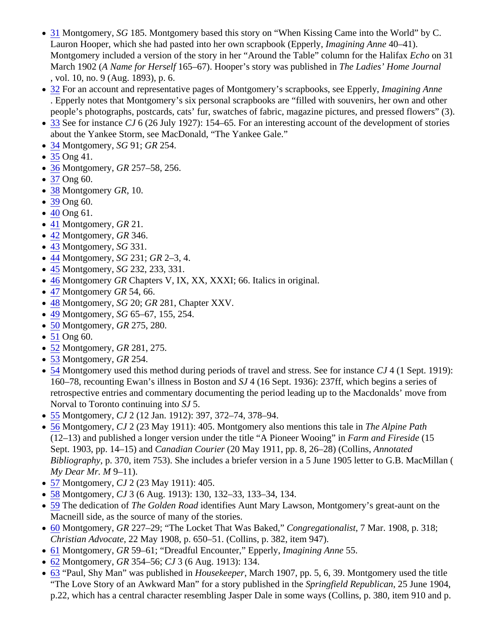- <span id="page-11-0"></span>• [31](#page-5-0) Montgomery, SG 185. Montgomery based this story on "When Kissing Came into the World" by C. Lauron Hooper, which she had pasted into her own scrapbook (Eppergining Anne 40–41). Montgomery included a version of the story in her "Around the Table" column for the Hathaxon 31 March 1902 A Name for Herself 65–67). Hooper's story was published Ime Ladies' Home Journal , vol. 10, no. 9 (Aug. 1893), p. 6.
- [32](#page-5-0) For an account and representative pages of Montgomery's scrapbooks, see Expageinitying Anne . Epperly notes that Montgomery's six personal scrapbooks are "filled with souvenirs, her own and other people's photographs, postcards, cats' fur, swatches of fabric, magazine pictures, and pressed flowers"
- [33](#page-5-0) See for instance J 6 (26 July 1927): 154–65. For an interesting account of the development of stories about the Yankee Storm, see MacDonald, "The Yankee Gale."
- [34](#page-5-0) Montgomery, SG91; GR 254.
- [35](#page-5-0) Ong 41.
- [36](#page-5-0) Montgomery, GR 257-58, 256.
- [37](#page-6-0) Ong 60.
- [38](#page-6-0) Montgomery GR, 10.
- [39](#page-6-0) Ong 60.
- [40](#page-6-0) Ong 61.
- [41](#page-6-0) Montgomery, GR 21.
- [42](#page-6-0) Montgomery, GR 346.
- [43](#page-6-0) Montgomery, SG331.
- [44](#page-6-0) Montgomery, SG 231; GR 2-3, 4.
- [45](#page-7-0) Montgomery, SG 232, 233, 331.
- [46](#page-7-0) Montgomery GR Chapters V, IX, XX, XXXI; 66. Italics in original.
- [47](#page-7-0) Montgomery GR 54, 66.
- [48](#page-7-0) Montgomery, SG 20; GR 281, Chapter XXV.
- [49](#page-8-0) Montgomery, SG 65-67, 155, 254.
- [50](#page-8-0) Montgomery, GR 275, 280.
- [51](#page-8-0) Ong 60.
- [52](#page-8-0) Montgomery, GR 281, 275.
- [53](#page-8-0) Montgomery, GR 254.
- [54](#page-8-0) Montgomery used this method during periods of travel and stress. See for in Catan (te Sept. 1919): 160–78, recounting Ewan's illness in Boston and (16 Sept. 1936): 237ff, which begins a series of retrospective entries and commentary documenting the period leading up to the Macdonalds' move from Norval to Toronto continuing int<sup>6</sup>J<sub>5</sub>.
- [55](#page-8-0) Montgomery, CJ 2 (12 Jan. 1912): 397, 372–74, 378–94.
- [56](#page-8-0) Montgomery, CJ 2 (23 May 1911): 405. Montgomery also mentions this tale in Alpine Path (12–13) and published a longer version under the title "A Pioneer Wooin  $\frac{1}{2}$  and Fireside (15) Sept. 1903, pp. 14–15) and and an Courier (20 May 1911, pp. 8, 26–28) (Collins, Annotated Bibliography, p. 370, item 753). She includes a briefer version in a 5 June 1905 letter to G.B. MacMillan ( My Dear Mr. M9-11).
- [57](#page-8-0) Montgomery, CJ 2 (23 May 1911): 405.
- [58](#page-9-0) Montgomery, CJ 3 (6 Aug. 1913): 130, 132-33, 133-34, 134.
- [59](#page-9-0) The dedication of The Golden Roaid dentifies Aunt Mary Lawson, Montgomery's great-aunt on the Macneill side, as the source of many of the stories.
- [60](#page-9-0) Montgomery, GR 227–29; "The Locket That Was Bake Congregationalist 7 Mar. 1908, p. 318; Christian Advocate22 May 1908, p. 650-51. (Collins, p. 382, item 947).
- [61](#page-9-0) Montgomery, GR 59–61; "Dreadful Encounter," Epperlly magining Anne 5.
- $\bullet$  [62](#page-9-0) Montgomery, GR 354–56; CJ 3 (6 Aug. 1913): 134.
- [63](#page-9-0) "Paul, Shy Man" was published IntousekeeperMarch 1907, pp. 5, 6, 39. Montgomery used the title "The Love Story of an Awkward Man" for a story published in Speringfield Republican 25 June 1904, p.22, which has a central character resembling Jasper Dale in some ways (Collins, p. 380, item 910 and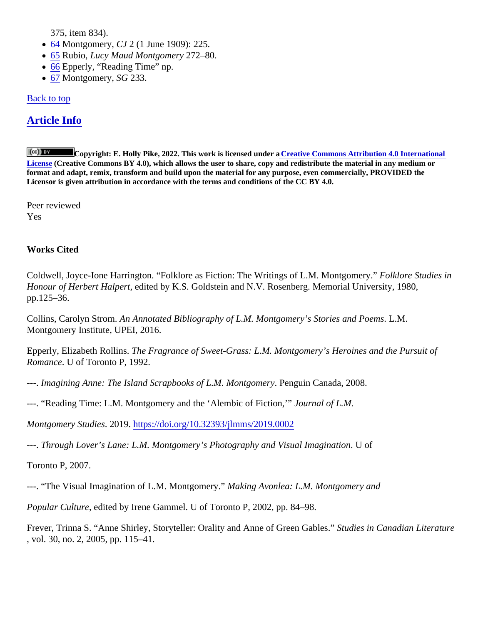375, item 834).

- <span id="page-12-0"></span>• [64](#page-9-0) Montgomery, CJ 2 (1 June 1909): 225.
- [65](#page-9-0) Rubio, Lucy Maud Montgomer 272–80.
- [66](#page-9-0) Epperly, "Reading Time" np.
- [67](#page-9-0) Montgomery, SG 233.

# Back to top

# Article Info

Copyright: E. Holly Pike, 2022. This work is licensed under **@**reative Commons Attribution 4.0 International [License](http://creativecommons.org/licenses/by/4.0/) (Creative Commons BY 4.0), which allows the user to share, copy and redistribute the material in any medium or format and adapt, remix, transform and build upon the material for any purpose, even commercially, PROVIDED the Licensor is given attribution in accordance with the terms and conditions of the CC BY 4.0.

Peer reviewed Yes

Works Cited

Coldwell, Joyce-Ione Harrington. "Folklore as Fiction: The Writings of L.M. Montgomerol kilore Studies in Honour of Herbert Halpertedited by K.S. Goldstein and N.V. Rosenberg. Memorial University, 1980, pp.125–36.

Collins, Carolyn StromAn Annotated Bibliography of L.M. Montgomery's Stories and Poent S Montgomery Institute, UPEI, 2016.

Epperly, Elizabeth RollinsThe Fragrance of Sweet-Grass: L.M. Montgomery's Heroines and the Pursuit of RomanceU of Toronto P, 1992.

- ---. Imagining Anne: The Island Scrapbooks of L.M. Montgom Burguin Canada, 2008.
- ---. "Reading Time: L.M. Montgomery and the 'Alembic of Fiction, burnal of L.M.
- Montgomery Studie 2019.https://doi.org/10.32393/jlmms/2019.0002
- ---. Through Lover's Lane: L.M. Montgomery's Photography and Visual Imagination

Toronto P, 2007.

---. "The Visual Imagination of L.M. Montgomery." Making Avonlea: L.M. Montgomery and

Popular Culture edited by Irene Gammel. U of Toronto P, 2002, pp. 84–98.

Frever, Trinna S. "Anne Shirley, Storyteller: Orality and Anne of Green Galatus in Canadian Literature , vol. 30, no. 2, 2005, pp. 115–41.